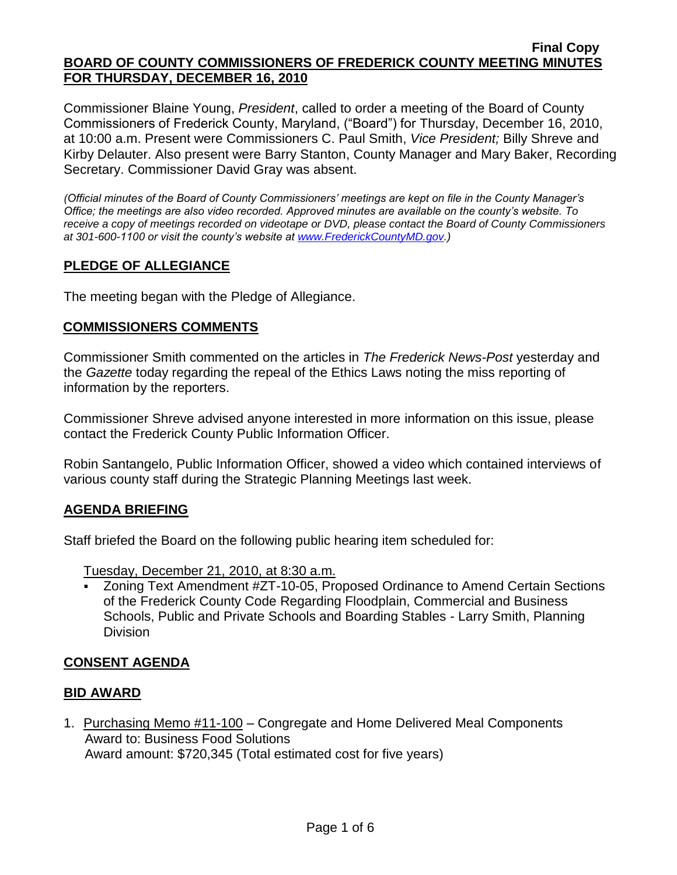Commissioner Blaine Young, *President*, called to order a meeting of the Board of County Commissioners of Frederick County, Maryland, ("Board") for Thursday, December 16, 2010, at 10:00 a.m. Present were Commissioners C. Paul Smith, *Vice President;* Billy Shreve and Kirby Delauter. Also present were Barry Stanton, County Manager and Mary Baker, Recording Secretary. Commissioner David Gray was absent.

*(Official minutes of the Board of County Commissioners' meetings are kept on file in the County Manager's Office; the meetings are also video recorded. Approved minutes are available on the county's website. To receive a copy of meetings recorded on videotape or DVD, please contact the Board of County Commissioners at 301-600-1100 or visit the county's website at [www.FrederickCountyMD.gov.](http://www.frederickcountymd.gov/))*

# **PLEDGE OF ALLEGIANCE**

The meeting began with the Pledge of Allegiance.

# **COMMISSIONERS COMMENTS**

Commissioner Smith commented on the articles in *The Frederick News-Post* yesterday and the *Gazette* today regarding the repeal of the Ethics Laws noting the miss reporting of information by the reporters.

Commissioner Shreve advised anyone interested in more information on this issue, please contact the Frederick County Public Information Officer.

Robin Santangelo, Public Information Officer, showed a video which contained interviews of various county staff during the Strategic Planning Meetings last week.

## **AGENDA BRIEFING**

Staff briefed the Board on the following public hearing item scheduled for:

Tuesday, December 21, 2010, at 8:30 a.m.

 Zoning Text Amendment #ZT-10-05, Proposed Ordinance to Amend Certain Sections of the Frederick County Code Regarding Floodplain, Commercial and Business Schools, Public and Private Schools and Boarding Stables - Larry Smith, Planning Division

# **CONSENT AGENDA**

## **BID AWARD**

1. Purchasing Memo #11-100 – Congregate and Home Delivered Meal Components Award to: Business Food Solutions Award amount: \$720,345 (Total estimated cost for five years)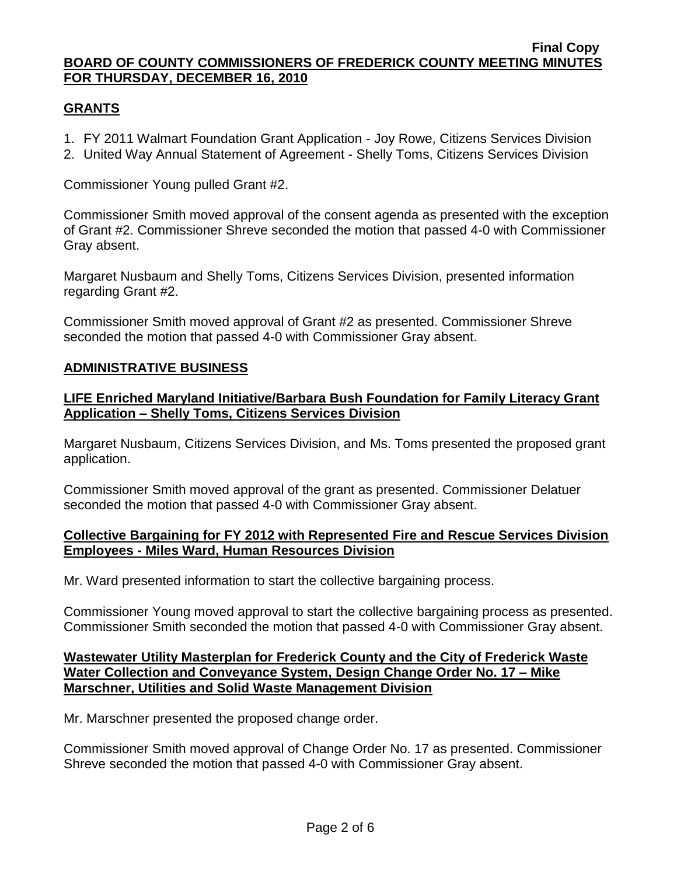## **GRANTS**

- 1. FY 2011 Walmart Foundation Grant Application Joy Rowe, Citizens Services Division
- 2. United Way Annual Statement of Agreement Shelly Toms, Citizens Services Division

Commissioner Young pulled Grant #2.

Commissioner Smith moved approval of the consent agenda as presented with the exception of Grant #2. Commissioner Shreve seconded the motion that passed 4-0 with Commissioner Gray absent.

Margaret Nusbaum and Shelly Toms, Citizens Services Division, presented information regarding Grant #2.

Commissioner Smith moved approval of Grant #2 as presented. Commissioner Shreve seconded the motion that passed 4-0 with Commissioner Gray absent.

# **ADMINISTRATIVE BUSINESS**

## **LIFE Enriched Maryland Initiative/Barbara Bush Foundation for Family Literacy Grant Application – Shelly Toms, Citizens Services Division**

Margaret Nusbaum, Citizens Services Division, and Ms. Toms presented the proposed grant application.

Commissioner Smith moved approval of the grant as presented. Commissioner Delatuer seconded the motion that passed 4-0 with Commissioner Gray absent.

#### **Collective Bargaining for FY 2012 with Represented Fire and Rescue Services Division Employees - Miles Ward, Human Resources Division**

Mr. Ward presented information to start the collective bargaining process.

Commissioner Young moved approval to start the collective bargaining process as presented. Commissioner Smith seconded the motion that passed 4-0 with Commissioner Gray absent.

#### **Wastewater Utility Masterplan for Frederick County and the City of Frederick Waste Water Collection and Conveyance System, Design Change Order No. 17 – Mike Marschner, Utilities and Solid Waste Management Division**

Mr. Marschner presented the proposed change order.

Commissioner Smith moved approval of Change Order No. 17 as presented. Commissioner Shreve seconded the motion that passed 4-0 with Commissioner Gray absent.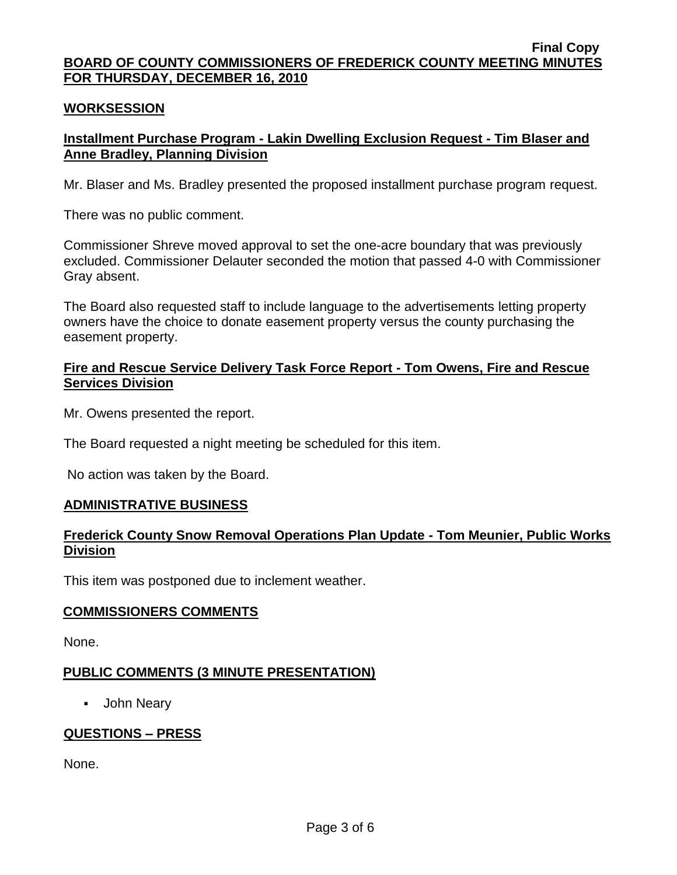#### **WORKSESSION**

# **Installment Purchase Program - Lakin Dwelling Exclusion Request - Tim Blaser and Anne Bradley, Planning Division**

Mr. Blaser and Ms. Bradley presented the proposed installment purchase program request.

There was no public comment.

Commissioner Shreve moved approval to set the one-acre boundary that was previously excluded. Commissioner Delauter seconded the motion that passed 4-0 with Commissioner Gray absent.

The Board also requested staff to include language to the advertisements letting property owners have the choice to donate easement property versus the county purchasing the easement property.

#### **Fire and Rescue Service Delivery Task Force Report - Tom Owens, Fire and Rescue Services Division**

Mr. Owens presented the report.

The Board requested a night meeting be scheduled for this item.

No action was taken by the Board.

#### **ADMINISTRATIVE BUSINESS**

## **Frederick County Snow Removal Operations Plan Update - Tom Meunier, Public Works Division**

This item was postponed due to inclement weather.

#### **COMMISSIONERS COMMENTS**

None.

#### **PUBLIC COMMENTS (3 MINUTE PRESENTATION)**

John Neary

## **QUESTIONS – PRESS**

None.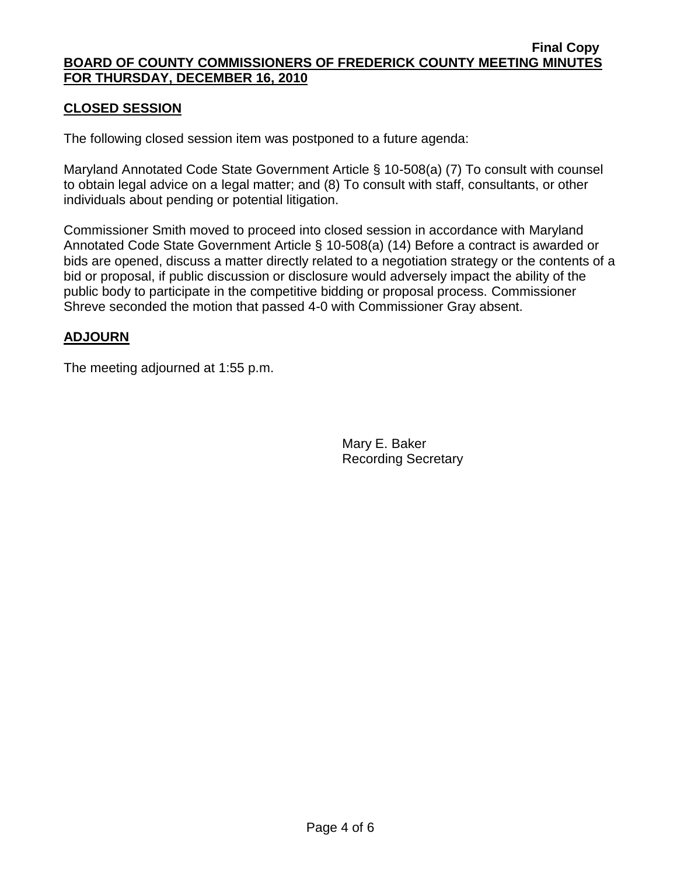# **CLOSED SESSION**

The following closed session item was postponed to a future agenda:

Maryland Annotated Code State Government Article § 10-508(a) (7) To consult with counsel to obtain legal advice on a legal matter; and (8) To consult with staff, consultants, or other individuals about pending or potential litigation.

Commissioner Smith moved to proceed into closed session in accordance with Maryland Annotated Code State Government Article § 10-508(a) (14) Before a contract is awarded or bids are opened, discuss a matter directly related to a negotiation strategy or the contents of a bid or proposal, if public discussion or disclosure would adversely impact the ability of the public body to participate in the competitive bidding or proposal process. Commissioner Shreve seconded the motion that passed 4-0 with Commissioner Gray absent.

# **ADJOURN**

The meeting adjourned at 1:55 p.m.

Mary E. Baker Recording Secretary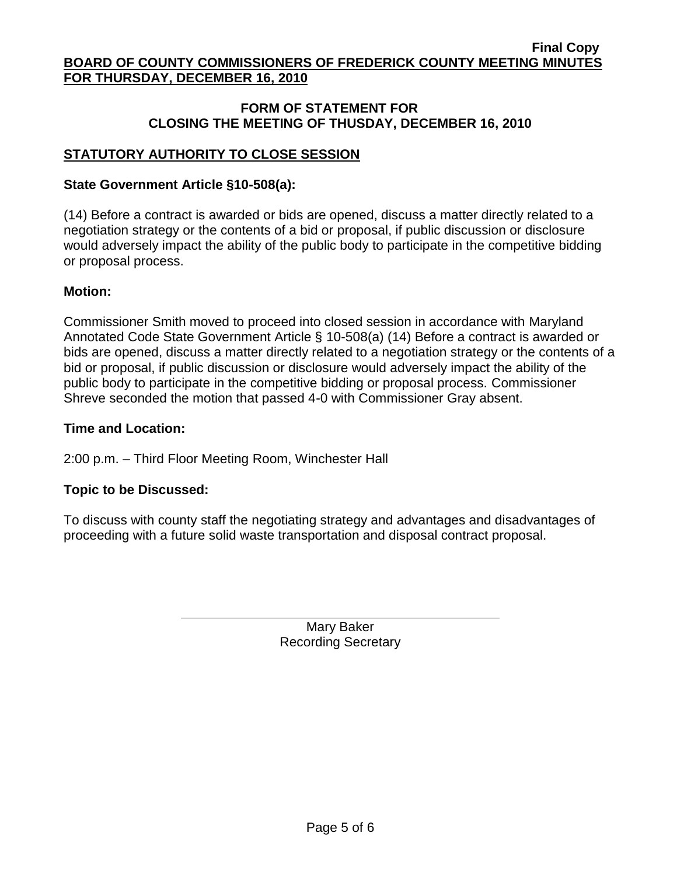## **FORM OF STATEMENT FOR CLOSING THE MEETING OF THUSDAY, DECEMBER 16, 2010**

# **STATUTORY AUTHORITY TO CLOSE SESSION**

#### **State Government Article §10-508(a):**

(14) Before a contract is awarded or bids are opened, discuss a matter directly related to a negotiation strategy or the contents of a bid or proposal, if public discussion or disclosure would adversely impact the ability of the public body to participate in the competitive bidding or proposal process.

#### **Motion:**

Commissioner Smith moved to proceed into closed session in accordance with Maryland Annotated Code State Government Article § 10-508(a) (14) Before a contract is awarded or bids are opened, discuss a matter directly related to a negotiation strategy or the contents of a bid or proposal, if public discussion or disclosure would adversely impact the ability of the public body to participate in the competitive bidding or proposal process. Commissioner Shreve seconded the motion that passed 4-0 with Commissioner Gray absent.

#### **Time and Location:**

2:00 p.m. – Third Floor Meeting Room, Winchester Hall

## **Topic to be Discussed:**

To discuss with county staff the negotiating strategy and advantages and disadvantages of proceeding with a future solid waste transportation and disposal contract proposal.

> Mary Baker Recording Secretary